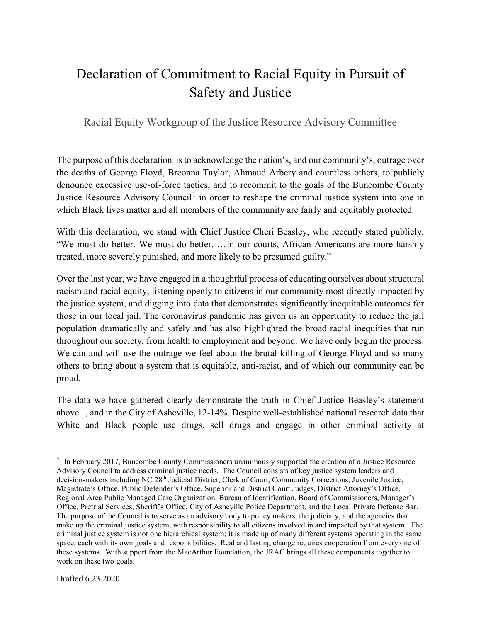## Declaration of Commitment to Racial Equity in Pursuit of Safety and Justice

Racial Equity Workgroup of the Justice Resource Advisory Committee

The purpose of this declaration is to acknowledge the nation's, and our community's, outrage over the deaths of George Floyd, Breonna Taylor, Ahmaud Arbery and countless others, to publicly denounce excessive use-of-force tactics, and to recommit to the goals of the Buncombe County Justice Resource Advisory Council<sup>[1](#page-0-0)</sup> in order to reshape the criminal justice system into one in which Black lives matter and all members of the community are fairly and equitably protected.

With this declaration, we stand with Chief Justice Cheri Beasley, who recently stated publicly, "We must do better. We must do better. …In our courts, African Americans are more harshly treated, more severely punished, and more likely to be presumed guilty."

Over the last year, we have engaged in a thoughtful process of educating ourselves about structural racism and racial equity, listening openly to citizens in our community most directly impacted by the justice system, and digging into data that demonstrates significantly inequitable outcomes for those in our local jail. The coronavirus pandemic has given us an opportunity to reduce the jail population dramatically and safely and has also highlighted the broad racial inequities that run throughout our society, from health to employment and beyond. We have only begun the process. We can and will use the outrage we feel about the brutal killing of George Floyd and so many others to bring about a system that is equitable, anti-racist, and of which our community can be proud.

The data we have gathered clearly demonstrate the truth in Chief Justice Beasley's statement above. , and in the City of Asheville, 12-14%. Despite well-established national research data that White and Black people use drugs, sell drugs and engage in other criminal activity at

<span id="page-0-0"></span> <sup>1</sup> In February 2017, Buncombe County Commissioners unanimously supported the creation of a Justice Resource Advisory Council to address criminal justice needs. The Council consists of key justice system leaders and decision-makers including NC 28<sup>th</sup> Judicial District; Clerk of Court, Community Corrections, Juvenile Justice, Magistrate's Office, Public Defender's Office, Superior and District Court Judges, District Attorney's Office, Regional Area Public Managed Care Organization, Bureau of Identification, Board of Commissioners, Manager's Office, Pretrial Services, Sheriff's Office, City of Asheville Police Department, and the Local Private Defense Bar. The purpose of the Council is to serve as an advisory body to policy makers, the judiciary, and the agencies that make up the criminal justice system, with responsibility to all citizens involved in and impacted by that system. The criminal justice system is not one hierarchical system; it is made up of many different systems operating in the same space, each with its own goals and responsibilities. Real and lasting change requires cooperation from every one of these systems. With support from the MacArthur Foundation, the JRAC brings all these components together to work on these two goals.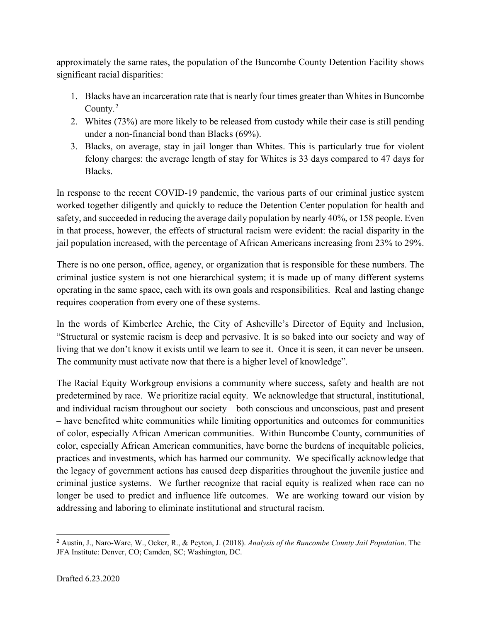approximately the same rates, the population of the Buncombe County Detention Facility shows significant racial disparities:

- 1. Blacks have an incarceration rate that is nearly four times greater than Whites in Buncombe County.<sup>[2](#page-1-0)</sup>
- 2. Whites (73%) are more likely to be released from custody while their case is still pending under a non-financial bond than Blacks (69%).
- 3. Blacks, on average, stay in jail longer than Whites. This is particularly true for violent felony charges: the average length of stay for Whites is 33 days compared to 47 days for Blacks.

In response to the recent COVID-19 pandemic, the various parts of our criminal justice system worked together diligently and quickly to reduce the Detention Center population for health and safety, and succeeded in reducing the average daily population by nearly 40%, or 158 people. Even in that process, however, the effects of structural racism were evident: the racial disparity in the jail population increased, with the percentage of African Americans increasing from 23% to 29%.

There is no one person, office, agency, or organization that is responsible for these numbers. The criminal justice system is not one hierarchical system; it is made up of many different systems operating in the same space, each with its own goals and responsibilities. Real and lasting change requires cooperation from every one of these systems.

In the words of Kimberlee Archie, the City of Asheville's Director of Equity and Inclusion, "Structural or systemic racism is deep and pervasive. It is so baked into our society and way of living that we don't know it exists until we learn to see it. Once it is seen, it can never be unseen. The community must activate now that there is a higher level of knowledge".

The Racial Equity Workgroup envisions a community where success, safety and health are not predetermined by race. We prioritize racial equity. We acknowledge that structural, institutional, and individual racism throughout our society – both conscious and unconscious, past and present – have benefited white communities while limiting opportunities and outcomes for communities of color, especially African American communities. Within Buncombe County, communities of color, especially African American communities, have borne the burdens of inequitable policies, practices and investments, which has harmed our community. We specifically acknowledge that the legacy of government actions has caused deep disparities throughout the juvenile justice and criminal justice systems. We further recognize that racial equity is realized when race can no longer be used to predict and influence life outcomes. We are working toward our vision by addressing and laboring to eliminate institutional and structural racism.

<span id="page-1-0"></span> <sup>2</sup> Austin, J., Naro-Ware, W., Ocker, R., & Peyton, J. (2018). *Analysis of the Buncombe County Jail Population*. The JFA Institute: Denver, CO; Camden, SC; Washington, DC.